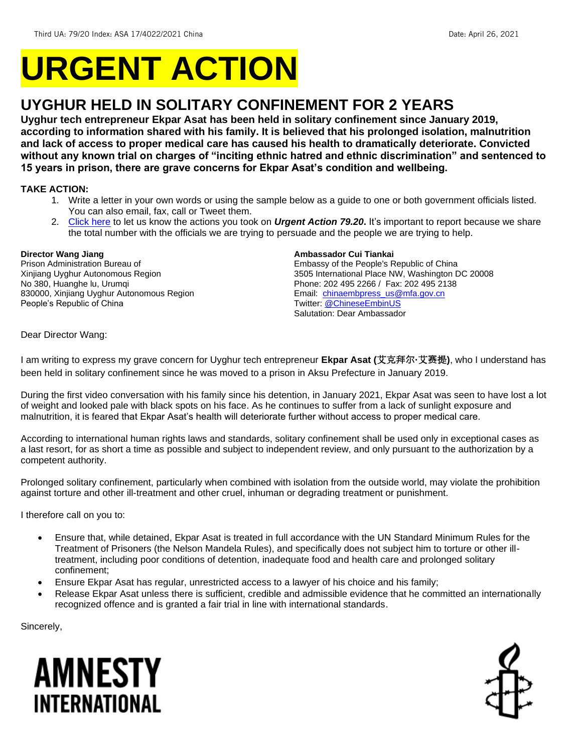# **URGENT ACTION**

## **UYGHUR HELD IN SOLITARY CONFINEMENT FOR 2 YEARS**

**Uyghur tech entrepreneur Ekpar Asat has been held in solitary confinement since January 2019, according to information shared with his family. It is believed that his prolonged isolation, malnutrition and lack of access to proper medical care has caused his health to dramatically deteriorate. Convicted without any known trial on charges of "inciting ethnic hatred and ethnic discrimination" and sentenced to 15 years in prison, there are grave concerns for Ekpar Asat's condition and wellbeing.**

#### **TAKE ACTION:**

- 1. Write a letter in your own words or using the sample below as a guide to one or both government officials listed. You can also email, fax, call or Tweet them.
- 2. [Click here](https://www.amnestyusa.org/report-urgent-actions/) to let us know the actions you took on *Urgent Action 79.20***.** It's important to report because we share the total number with the officials we are trying to persuade and the people we are trying to help.

#### **Director Wang Jiang**

Prison Administration Bureau of Xinjiang Uyghur Autonomous Region No 380, Huanghe lu, Urumqi 830000, Xinjiang Uyghur Autonomous Region People's Republic of China

#### **Ambassador Cui Tiankai**

Embassy of the People's Republic of China 3505 International Place NW, Washington DC 20008 Phone: 202 495 2266 / Fax: 202 495 2138 Email: [chinaembpress\\_us@mfa.gov.cn](mailto:chinaembpress_us@mfa.gov.cn) Twitter[: @ChineseEmbinUS](https://twitter.com/chineseembinus) Salutation: Dear Ambassador

Dear Director Wang:

I am writing to express my grave concern for Uyghur tech entrepreneur **Ekpar Asat (**艾克拜**尔·**艾**赛**提**)**, who I understand has been held in solitary confinement since he was moved to a prison in Aksu Prefecture in January 2019.

During the first video conversation with his family since his detention, in January 2021, Ekpar Asat was seen to have lost a lot of weight and looked pale with black spots on his face. As he continues to suffer from a lack of sunlight exposure and malnutrition, it is feared that Ekpar Asat's health will deteriorate further without access to proper medical care.

According to international human rights laws and standards, solitary confinement shall be used only in exceptional cases as a last resort, for as short a time as possible and subject to independent review, and only pursuant to the authorization by a competent authority.

Prolonged solitary confinement, particularly when combined with isolation from the outside world, may violate the prohibition against torture and other ill-treatment and other cruel, inhuman or degrading treatment or punishment.

I therefore call on you to:

- Ensure that, while detained, Ekpar Asat is treated in full accordance with the UN Standard Minimum Rules for the Treatment of Prisoners (the Nelson Mandela Rules), and specifically does not subject him to torture or other illtreatment, including poor conditions of detention, inadequate food and health care and prolonged solitary confinement;
- Ensure Ekpar Asat has regular, unrestricted access to a lawyer of his choice and his family;
- Release Ekpar Asat unless there is sufficient, credible and admissible evidence that he committed an internationally recognized offence and is granted a fair trial in line with international standards.

Sincerely,